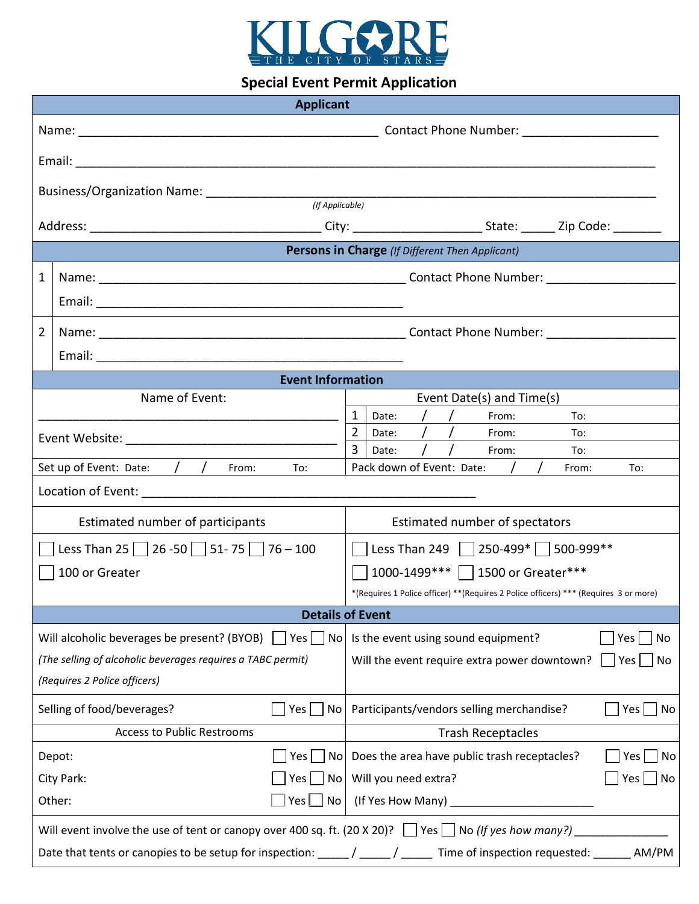

# **Special Event Permit Application**

| <b>Applicant</b>                                                                                                 |                                                                                                                       |                                                                                      |    |  |  |
|------------------------------------------------------------------------------------------------------------------|-----------------------------------------------------------------------------------------------------------------------|--------------------------------------------------------------------------------------|----|--|--|
|                                                                                                                  |                                                                                                                       |                                                                                      |    |  |  |
|                                                                                                                  |                                                                                                                       |                                                                                      |    |  |  |
|                                                                                                                  |                                                                                                                       |                                                                                      |    |  |  |
| (If Applicable)                                                                                                  |                                                                                                                       |                                                                                      |    |  |  |
|                                                                                                                  |                                                                                                                       |                                                                                      |    |  |  |
| Persons in Charge (If Different Then Applicant)                                                                  |                                                                                                                       |                                                                                      |    |  |  |
| $\mathbf{1}$                                                                                                     |                                                                                                                       |                                                                                      |    |  |  |
|                                                                                                                  |                                                                                                                       |                                                                                      |    |  |  |
| $\overline{2}$                                                                                                   |                                                                                                                       |                                                                                      |    |  |  |
|                                                                                                                  |                                                                                                                       |                                                                                      |    |  |  |
| <b>Event Information</b>                                                                                         |                                                                                                                       |                                                                                      |    |  |  |
|                                                                                                                  | Name of Event:                                                                                                        | Event Date(s) and Time(s)                                                            |    |  |  |
|                                                                                                                  |                                                                                                                       | $\frac{1}{2}$<br>1<br>Date:<br>From:<br>To:<br>$\overline{2}$                        |    |  |  |
|                                                                                                                  |                                                                                                                       | $\frac{1}{2}$<br>Date:<br>From:<br>To:<br>Date:<br>From:<br>To:                      |    |  |  |
| Set up of Event: Date: / / From:<br>$\overline{a}$                                                               |                                                                                                                       | Pack down of Event: Date: /<br>From:<br>To:                                          |    |  |  |
|                                                                                                                  |                                                                                                                       |                                                                                      |    |  |  |
| Estimated number of participants                                                                                 |                                                                                                                       | Estimated number of spectators                                                       |    |  |  |
| Less Than 25 26 -50 51 - 75 76 - 100                                                                             |                                                                                                                       | □ Less Than 249 250-499* 300-999**                                                   |    |  |  |
| 100 or Greater                                                                                                   |                                                                                                                       | 1000-1499*** 1500 or Greater***                                                      |    |  |  |
|                                                                                                                  |                                                                                                                       | *(Requires 1 Police officer) **(Requires 2 Police officers) *** (Requires 3 or more) |    |  |  |
| <b>Details of Event</b>                                                                                          |                                                                                                                       |                                                                                      |    |  |  |
|                                                                                                                  | Will alcoholic beverages be present? (BYOB) $\Box$ Yes $\Box$ No                                                      | Is the event using sound equipment?<br>Yes<br>  No                                   |    |  |  |
| (The selling of alcoholic beverages requires a TABC permit)                                                      |                                                                                                                       | Will the event require extra power downtown?<br>$Yes \nightharpoonup No$             |    |  |  |
| (Requires 2 Police officers)                                                                                     |                                                                                                                       |                                                                                      |    |  |  |
| Selling of food/beverages?<br>No<br>Yes l                                                                        |                                                                                                                       | Participants/vendors selling merchandise?<br>Yes                                     | No |  |  |
| <b>Access to Public Restrooms</b>                                                                                |                                                                                                                       | <b>Trash Receptacles</b>                                                             |    |  |  |
| No l<br>Depot:<br>Yes                                                                                            |                                                                                                                       | Does the area have public trash receptacles?<br>Yes                                  | No |  |  |
| City Park:<br>Yes  <br>No l                                                                                      |                                                                                                                       | Will you need extra?<br>Yes                                                          | No |  |  |
| Other:<br>Yes  <br>No                                                                                            |                                                                                                                       |                                                                                      |    |  |  |
| Will event involve the use of tent or canopy over 400 sq. ft. (20 X 20)? $\Box$ Yes $\Box$ No (If yes how many?) |                                                                                                                       |                                                                                      |    |  |  |
|                                                                                                                  | Date that tents or canopies to be setup for inspection: _____/ ____/ _____ Time of inspection requested: ______ AM/PM |                                                                                      |    |  |  |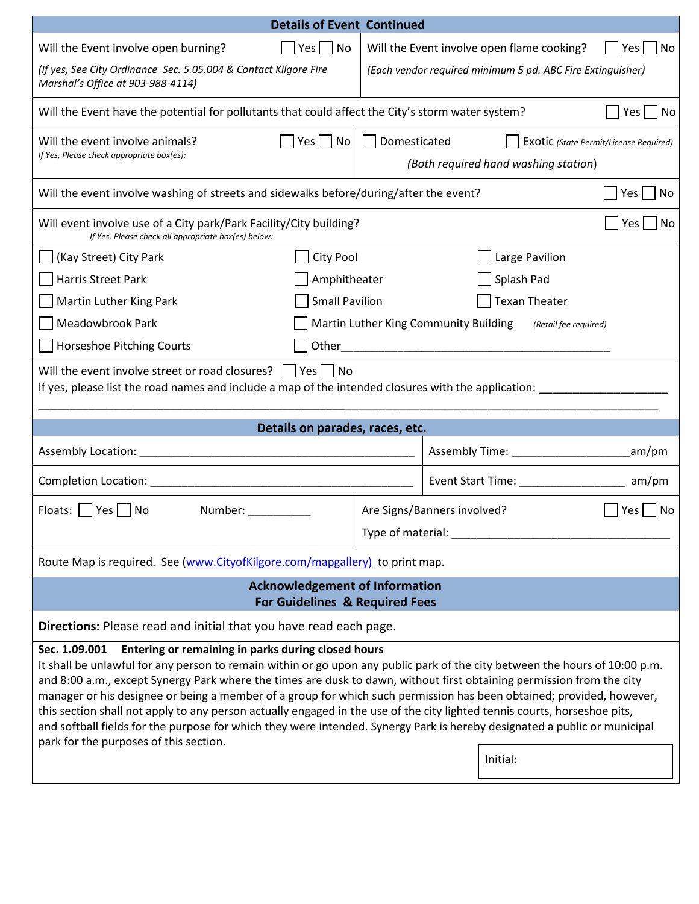| <b>Details of Event Continued</b>                                                                                                                                                                                                                                                                                                                                                                                                                                                                                                                                                                                                                                                                                                                                   |                                                                                                |  |  |  |  |
|---------------------------------------------------------------------------------------------------------------------------------------------------------------------------------------------------------------------------------------------------------------------------------------------------------------------------------------------------------------------------------------------------------------------------------------------------------------------------------------------------------------------------------------------------------------------------------------------------------------------------------------------------------------------------------------------------------------------------------------------------------------------|------------------------------------------------------------------------------------------------|--|--|--|--|
| Will the Event involve open burning?<br>$Yes \mid \text{No}$                                                                                                                                                                                                                                                                                                                                                                                                                                                                                                                                                                                                                                                                                                        | Will the Event involve open flame cooking?<br>$Yes \mid \text{No}$                             |  |  |  |  |
| (If yes, See City Ordinance Sec. 5.05.004 & Contact Kilgore Fire<br>Marshal's Office at 903-988-4114)                                                                                                                                                                                                                                                                                                                                                                                                                                                                                                                                                                                                                                                               | (Each vendor required minimum 5 pd. ABC Fire Extinguisher)                                     |  |  |  |  |
| Will the Event have the potential for pollutants that could affect the City's storm water system?<br>Yes  <br>No                                                                                                                                                                                                                                                                                                                                                                                                                                                                                                                                                                                                                                                    |                                                                                                |  |  |  |  |
| Will the event involve animals?<br>$ $ No<br>Yes<br>If Yes, Please check appropriate box(es):                                                                                                                                                                                                                                                                                                                                                                                                                                                                                                                                                                                                                                                                       | Domesticated<br>Exotic (State Permit/License Required)<br>(Both required hand washing station) |  |  |  |  |
| Will the event involve washing of streets and sidewalks before/during/after the event?<br>Yes<br>No                                                                                                                                                                                                                                                                                                                                                                                                                                                                                                                                                                                                                                                                 |                                                                                                |  |  |  |  |
| Will event involve use of a City park/Park Facility/City building?<br>Yes<br>No<br>If Yes, Please check all appropriate box(es) below:                                                                                                                                                                                                                                                                                                                                                                                                                                                                                                                                                                                                                              |                                                                                                |  |  |  |  |
| City Pool<br>Large Pavilion<br>(Kay Street) City Park                                                                                                                                                                                                                                                                                                                                                                                                                                                                                                                                                                                                                                                                                                               |                                                                                                |  |  |  |  |
| Harris Street Park<br>Amphitheater                                                                                                                                                                                                                                                                                                                                                                                                                                                                                                                                                                                                                                                                                                                                  | Splash Pad                                                                                     |  |  |  |  |
| <b>Small Pavilion</b><br><b>Texan Theater</b><br>Martin Luther King Park                                                                                                                                                                                                                                                                                                                                                                                                                                                                                                                                                                                                                                                                                            |                                                                                                |  |  |  |  |
| Meadowbrook Park<br>Martin Luther King Community Building<br>(Retail fee required)                                                                                                                                                                                                                                                                                                                                                                                                                                                                                                                                                                                                                                                                                  |                                                                                                |  |  |  |  |
| <b>Horseshoe Pitching Courts</b>                                                                                                                                                                                                                                                                                                                                                                                                                                                                                                                                                                                                                                                                                                                                    |                                                                                                |  |  |  |  |
| Will the event involve street or road closures? $\vert$   Yes     No<br>If yes, please list the road names and include a map of the intended closures with the application:                                                                                                                                                                                                                                                                                                                                                                                                                                                                                                                                                                                         |                                                                                                |  |  |  |  |
| Details on parades, races, etc.                                                                                                                                                                                                                                                                                                                                                                                                                                                                                                                                                                                                                                                                                                                                     |                                                                                                |  |  |  |  |
|                                                                                                                                                                                                                                                                                                                                                                                                                                                                                                                                                                                                                                                                                                                                                                     | am/pm                                                                                          |  |  |  |  |
| Completion Location: National According to the Completion Completion of the Completion Completion of the Completion of the Completion of the Completion of the Completion of the Completion of the Completion of the Completio                                                                                                                                                                                                                                                                                                                                                                                                                                                                                                                                      | Event Start Time: Name and Start Time:<br>am/pm                                                |  |  |  |  |
| Floats:     Yes     No<br>Number:                                                                                                                                                                                                                                                                                                                                                                                                                                                                                                                                                                                                                                                                                                                                   | Are Signs/Banners involved?<br>No<br>Yes  <br>Type of material:                                |  |  |  |  |
| Route Map is required. See (www.CityofKilgore.com/mapgallery) to print map.                                                                                                                                                                                                                                                                                                                                                                                                                                                                                                                                                                                                                                                                                         |                                                                                                |  |  |  |  |
| <b>Acknowledgement of Information</b><br><b>For Guidelines &amp; Required Fees</b>                                                                                                                                                                                                                                                                                                                                                                                                                                                                                                                                                                                                                                                                                  |                                                                                                |  |  |  |  |
| Directions: Please read and initial that you have read each page.                                                                                                                                                                                                                                                                                                                                                                                                                                                                                                                                                                                                                                                                                                   |                                                                                                |  |  |  |  |
| Entering or remaining in parks during closed hours<br>Sec. 1.09.001<br>It shall be unlawful for any person to remain within or go upon any public park of the city between the hours of 10:00 p.m.<br>and 8:00 a.m., except Synergy Park where the times are dusk to dawn, without first obtaining permission from the city<br>manager or his designee or being a member of a group for which such permission has been obtained; provided, however,<br>this section shall not apply to any person actually engaged in the use of the city lighted tennis courts, horseshoe pits,<br>and softball fields for the purpose for which they were intended. Synergy Park is hereby designated a public or municipal<br>park for the purposes of this section.<br>Initial: |                                                                                                |  |  |  |  |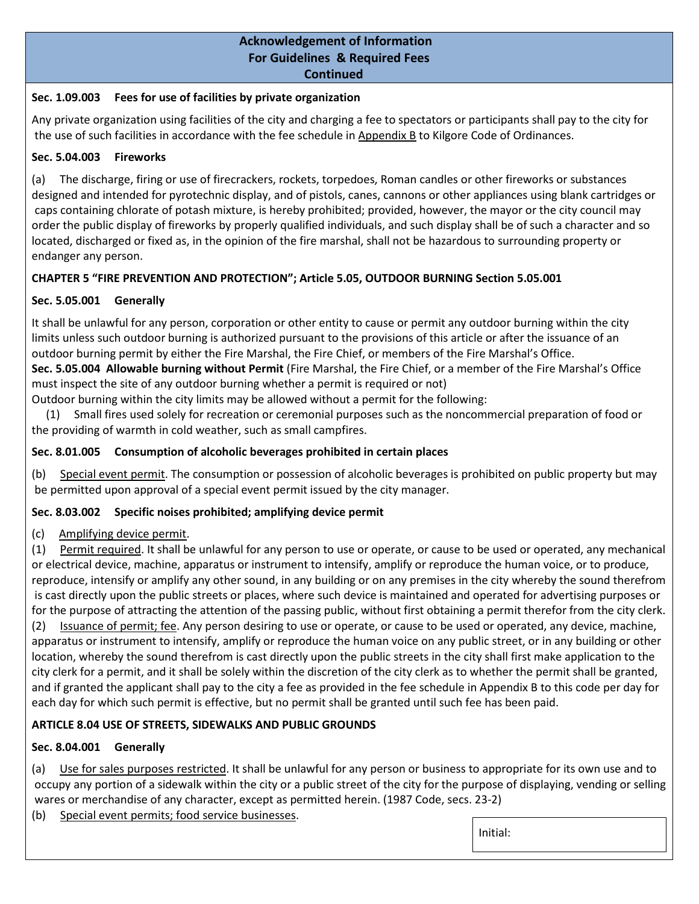### **Sec. 1.09.003 Fees for use of facilities by private organization**

Any private organization using facilities of the city and charging a fee to spectators or participants shall pay to the city for the use of such facilities in accordance with the fee schedule in Appendix B to Kilgore Code of Ordinances.

### **Sec. 5.04.003 Fireworks**

(a) The discharge, firing or use of firecrackers, rockets, torpedoes, Roman candles or other fireworks or substances designed and intended for pyrotechnic display, and of pistols, canes, cannons or other appliances using blank cartridges or caps containing chlorate of potash mixture, is hereby prohibited; provided, however, the mayor or the city council may order the public display of fireworks by properly qualified individuals, and such display shall be of such a character and so located, discharged or fixed as, in the opinion of the fire marshal, shall not be hazardous to surrounding property or endanger any person.

# **CHAPTER 5 "FIRE PREVENTION AND PROTECTION"; Article 5.05, OUTDOOR BURNING Section 5.05.001**

# **Sec. 5.05.001 Generally**

It shall be unlawful for any person, corporation or other entity to cause or permit any outdoor burning within the city limits unless such outdoor burning is authorized pursuant to the provisions of this article or after the issuance of an outdoor burning permit by either the Fire Marshal, the Fire Chief, or members of the Fire Marshal's Office. **Sec. 5.05.004 Allowable burning without Permit** (Fire Marshal, the Fire Chief, or a member of the Fire Marshal's Office must inspect the site of any outdoor burning whether a permit is required or not) Outdoor burning within the city limits may be allowed without a permit for the following:

 (1) Small fires used solely for recreation or ceremonial purposes such as the noncommercial preparation of food or the providing of warmth in cold weather, such as small campfires.

# **Sec. 8.01.005 Consumption of alcoholic beverages prohibited in certain places**

(b) Special event permit. The consumption or possession of alcoholic beverages is prohibited on public property but may be permitted upon approval of a special event permit issued by the city manager.

# **Sec. 8.03.002 Specific noises prohibited; amplifying device permit**

# (c) Amplifying device permit.

(1) Permit required. It shall be unlawful for any person to use or operate, or cause to be used or operated, any mechanical or electrical device, machine, apparatus or instrument to intensify, amplify or reproduce the human voice, or to produce, reproduce, intensify or amplify any other sound, in any building or on any premises in the city whereby the sound therefrom is cast directly upon the public streets or places, where such device is maintained and operated for advertising purposes or for the purpose of attracting the attention of the passing public, without first obtaining a permit therefor from the city clerk. (2) Issuance of permit; fee. Any person desiring to use or operate, or cause to be used or operated, any device, machine, apparatus or instrument to intensify, amplify or reproduce the human voice on any public street, or in any building or other location, whereby the sound therefrom is cast directly upon the public streets in the city shall first make application to the city clerk for a permit, and it shall be solely within the discretion of the city clerk as to whether the permit shall be granted, and if granted the applicant shall pay to the city a fee as provided in the fee schedule in Appendix B to this code per day for each day for which such permit is effective, but no permit shall be granted until such fee has been paid.

# **ARTICLE 8.04 USE OF STREETS, SIDEWALKS AND PUBLIC GROUNDS**

# **Sec. 8.04.001 Generally**

(a) Use for sales purposes restricted. It shall be unlawful for any person or business to appropriate for its own use and to occupy any portion of a sidewalk within the city or a public street of the city for the purpose of displaying, vending or selling wares or merchandise of any character, except as permitted herein. (1987 Code, secs. 23-2)

(b) Special event permits; food service businesses.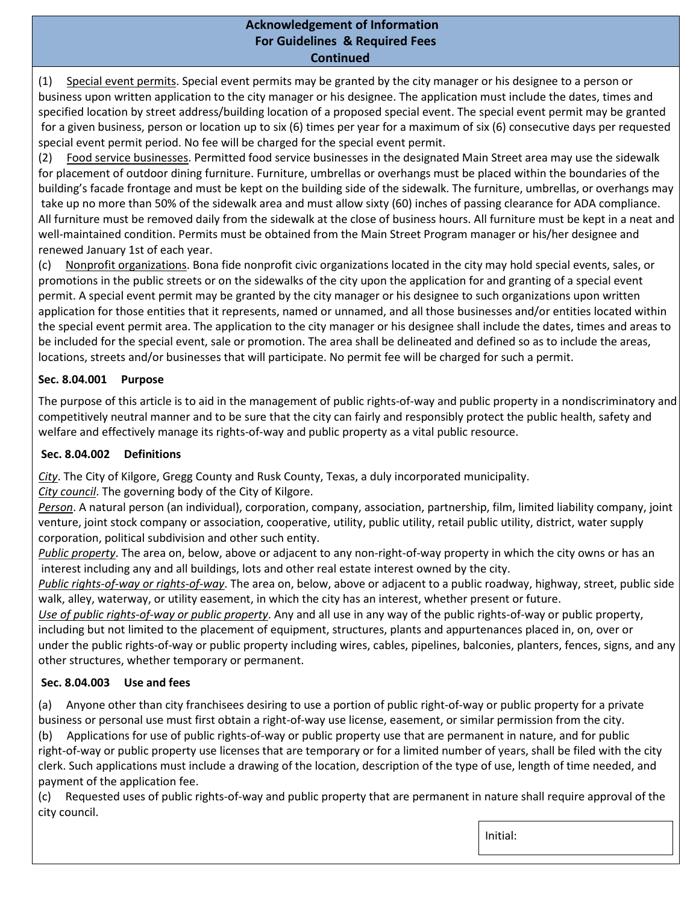(1) Special event permits. Special event permits may be granted by the city manager or his designee to a person or business upon written application to the city manager or his designee. The application must include the dates, times and specified location by street address/building location of a proposed special event. The special event permit may be granted for a given business, person or location up to six (6) times per year for a maximum of six (6) consecutive days per requested special event permit period. No fee will be charged for the special event permit.

(2) Food service businesses. Permitted food service businesses in the designated Main Street area may use the sidewalk for placement of outdoor dining furniture. Furniture, umbrellas or overhangs must be placed within the boundaries of the building's facade frontage and must be kept on the building side of the sidewalk. The furniture, umbrellas, or overhangs may take up no more than 50% of the sidewalk area and must allow sixty (60) inches of passing clearance for ADA compliance. All furniture must be removed daily from the sidewalk at the close of business hours. All furniture must be kept in a neat and well-maintained condition. Permits must be obtained from the Main Street Program manager or his/her designee and renewed January 1st of each year.

(c) Nonprofit organizations. Bona fide nonprofit civic organizations located in the city may hold special events, sales, or promotions in the public streets or on the sidewalks of the city upon the application for and granting of a special event permit. A special event permit may be granted by the city manager or his designee to such organizations upon written application for those entities that it represents, named or unnamed, and all those businesses and/or entities located within the special event permit area. The application to the city manager or his designee shall include the dates, times and areas to be included for the special event, sale or promotion. The area shall be delineated and defined so as to include the areas, locations, streets and/or businesses that will participate. No permit fee will be charged for such a permit.

# **Sec. 8.04.001 Purpose**

The purpose of this article is to aid in the management of public rights-of-way and public property in a nondiscriminatory and competitively neutral manner and to be sure that the city can fairly and responsibly protect the public health, safety and welfare and effectively manage its rights-of-way and public property as a vital public resource.

### **Sec. 8.04.002 Definitions**

*City*. The City of Kilgore, Gregg County and Rusk County, Texas, a duly incorporated municipality.

*City council*. The governing body of the City of Kilgore.

*Person*. A natural person (an individual), corporation, company, association, partnership, film, limited liability company, joint venture, joint stock company or association, cooperative, utility, public utility, retail public utility, district, water supply corporation, political subdivision and other such entity.

*Public property*. The area on, below, above or adjacent to any non-right-of-way property in which the city owns or has an interest including any and all buildings, lots and other real estate interest owned by the city.

*Public rights-of-way or rights-of-way*. The area on, below, above or adjacent to a public roadway, highway, street, public side walk, alley, waterway, or utility easement, in which the city has an interest, whether present or future.

*Use of public rights-of-way or public property*. Any and all use in any way of the public rights-of-way or public property, including but not limited to the placement of equipment, structures, plants and appurtenances placed in, on, over or under the public rights-of-way or public property including wires, cables, pipelines, balconies, planters, fences, signs, and any other structures, whether temporary or permanent.

### **Sec. 8.04.003 Use and fees**

(a) Anyone other than city franchisees desiring to use a portion of public right-of-way or public property for a private business or personal use must first obtain a right-of-way use license, easement, or similar permission from the city.

(b) Applications for use of public rights-of-way or public property use that are permanent in nature, and for public right-of-way or public property use licenses that are temporary or for a limited number of years, shall be filed with the city clerk. Such applications must include a drawing of the location, description of the type of use, length of time needed, and payment of the application fee.

(c) Requested uses of public rights-of-way and public property that are permanent in nature shall require approval of the city council.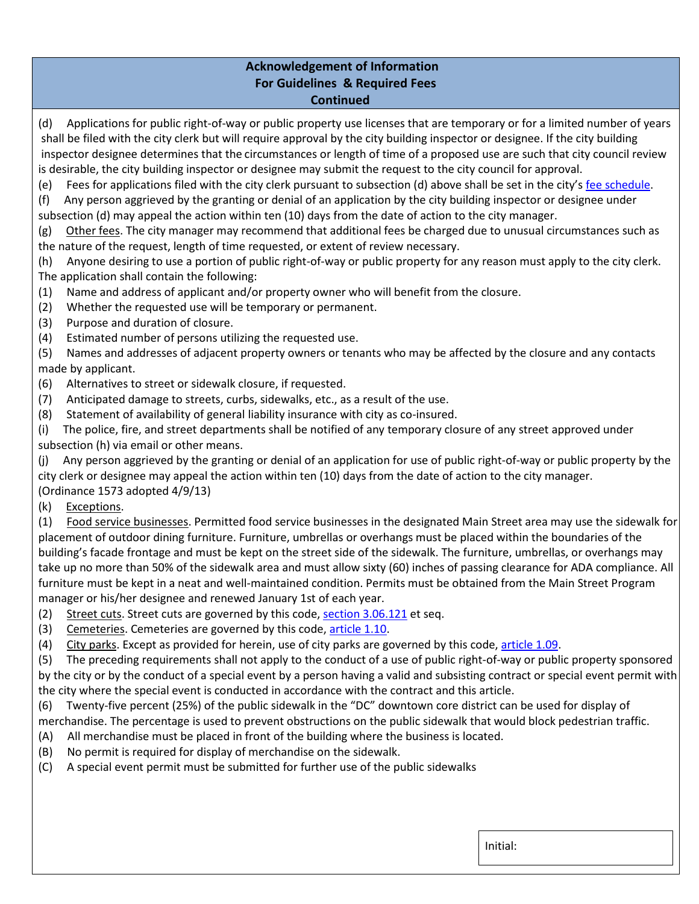(d) Applications for public right-of-way or public property use licenses that are temporary or for a limited number of years shall be filed with the city clerk but will require approval by the city building inspector or designee. If the city building inspector designee determines that the circumstances or length of time of a proposed use are such that city council review is desirable, the city building inspector or designee may submit the request to the city council for approval.

(e) Fees for applications filed with the city clerk pursuant to subsection (d) above shall be set in the city's fee schedule.

(f) Any person aggrieved by the granting or denial of an application by the city building inspector or designee under subsection (d) may appeal the action within ten (10) days from the date of action to the city manager.

(g) Other fees. The city manager may recommend that additional fees be charged due to unusual circumstances such as the nature of the request, length of time requested, or extent of review necessary.

(h) Anyone desiring to use a portion of public right-of-way or public property for any reason must apply to the city clerk. The application shall contain the following:

- (1) Name and address of applicant and/or property owner who will benefit from the closure.
- (2) Whether the requested use will be temporary or permanent.
- (3) Purpose and duration of closure.
- (4) Estimated number of persons utilizing the requested use.

(5) Names and addresses of adjacent property owners or tenants who may be affected by the closure and any contacts made by applicant.

- (6) Alternatives to street or sidewalk closure, if requested.
- (7) Anticipated damage to streets, curbs, sidewalks, etc., as a result of the use.
- (8) Statement of availability of general liability insurance with city as co-insured.

(i) The police, fire, and street departments shall be notified of any temporary closure of any street approved under subsection (h) via email or other means.

(j) Any person aggrieved by the granting or denial of an application for use of public right-of-way or public property by the city clerk or designee may appeal the action within ten (10) days from the date of action to the city manager. (Ordinance 1573 adopted 4/9/13)

(k) Exceptions.

(1) Food service businesses. Permitted food service businesses in the designated Main Street area may use the sidewalk for placement of outdoor dining furniture. Furniture, umbrellas or overhangs must be placed within the boundaries of the building's facade frontage and must be kept on the street side of the sidewalk. The furniture, umbrellas, or overhangs may take up no more than 50% of the sidewalk area and must allow sixty (60) inches of passing clearance for ADA compliance. All furniture must be kept in a neat and well-maintained condition. Permits must be obtained from the Main Street Program manager or his/her designee and renewed January 1st of each year.

- (2) Street cuts. Street cuts are governed by this code, section 3.06.121 et seq.
- (3) Cemeteries. Cemeteries are governed by this code, article 1.10.
- (4) City parks. Except as provided for herein, use of city parks are governed by this code, article 1.09.

(5) The preceding requirements shall not apply to the conduct of a use of public right-of-way or public property sponsored by the city or by the conduct of a special event by a person having a valid and subsisting contract or special event permit with the city where the special event is conducted in accordance with the contract and this article.

(6) Twenty-five percent (25%) of the public sidewalk in the "DC" downtown core district can be used for display of merchandise. The percentage is used to prevent obstructions on the public sidewalk that would block pedestrian traffic.

- (A) All merchandise must be placed in front of the building where the business is located.
- (B) No permit is required for display of merchandise on the sidewalk.
- (C) A special event permit must be submitted for further use of the public sidewalks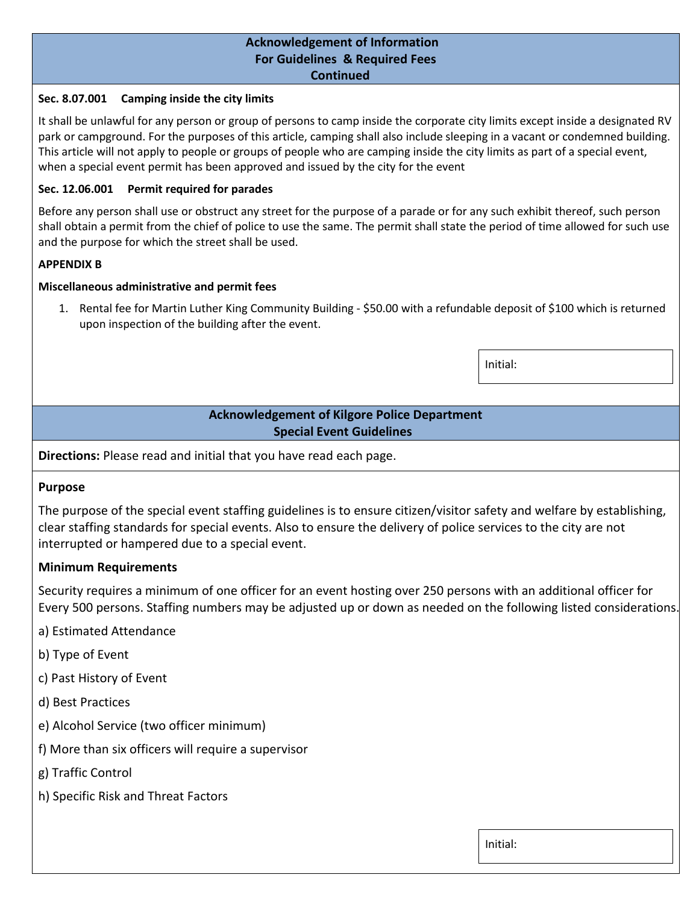### **Sec. 8.07.001 Camping inside the city limits**

It shall be unlawful for any person or group of persons to camp inside the corporate city limits except inside a designated RV park or campground. For the purposes of this article, camping shall also include sleeping in a vacant or condemned building. This article will not apply to people or groups of people who are camping inside the city limits as part of a special event, when a special event permit has been approved and issued by the city for the event

### **Sec. 12.06.001 Permit required for parades**

Before any person shall use or obstruct any street for the purpose of a parade or for any such exhibit thereof, such person shall obtain a permit from the chief of police to use the same. The permit shall state the period of time allowed for such use and the purpose for which the street shall be used.

### **APPENDIX B**

### **Miscellaneous administrative and permit fees**

1. Rental fee for Martin Luther King Community Building - \$50.00 with a refundable deposit of \$100 which is returned upon inspection of the building after the event.

Initial:

# **Acknowledgement of Kilgore Police Department Special Event Guidelines**

**Directions:** Please read and initial that you have read each page.

# **Purpose**

The purpose of the special event staffing guidelines is to ensure citizen/visitor safety and welfare by establishing, clear staffing standards for special events. Also to ensure the delivery of police services to the city are not interrupted or hampered due to a special event.

# **Minimum Requirements**

Security requires a minimum of one officer for an event hosting over 250 persons with an additional officer for Every 500 persons. Staffing numbers may be adjusted up or down as needed on the following listed considerations.

- a) Estimated Attendance
- b) Type of Event
- c) Past History of Event
- d) Best Practices
- e) Alcohol Service (two officer minimum)
- f) More than six officers will require a supervisor
- g) Traffic Control
- h) Specific Risk and Threat Factors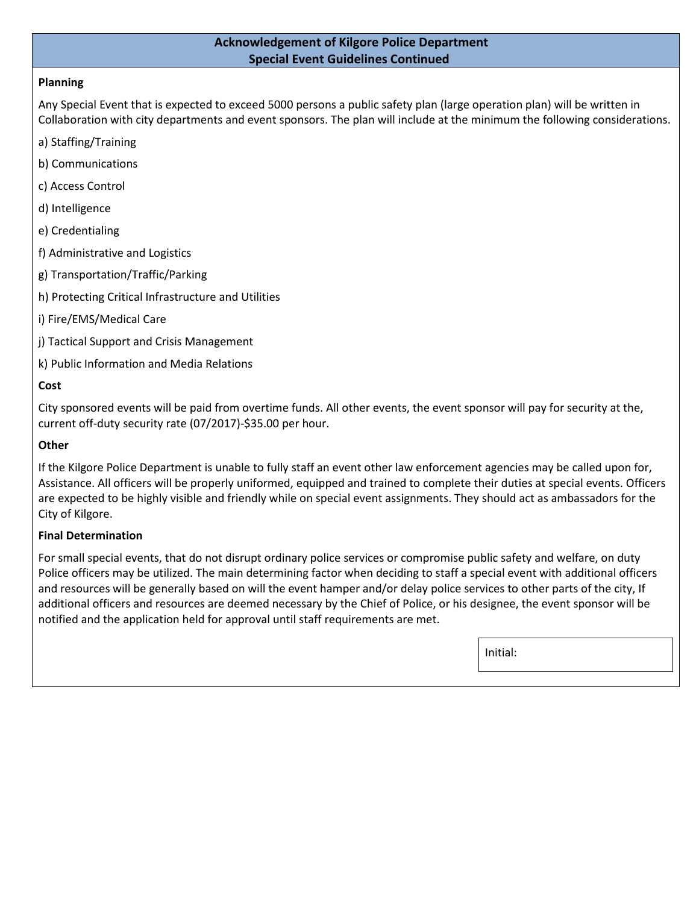# **Acknowledgement of Kilgore Police Department Special Event Guidelines Continued**

# **Planning**

Any Special Event that is expected to exceed 5000 persons a public safety plan (large operation plan) will be written in Collaboration with city departments and event sponsors. The plan will include at the minimum the following considerations.

- a) Staffing/Training
- b) Communications
- c) Access Control
- d) Intelligence
- e) Credentialing
- f) Administrative and Logistics
- g) Transportation/Traffic/Parking
- h) Protecting Critical Infrastructure and Utilities
- i) Fire/EMS/Medical Care
- j) Tactical Support and Crisis Management
- k) Public Information and Media Relations

### **Cost**

City sponsored events will be paid from overtime funds. All other events, the event sponsor will pay for security at the, current off-duty security rate (07/2017)-\$35.00 per hour.

#### **Other**

If the Kilgore Police Department is unable to fully staff an event other law enforcement agencies may be called upon for, Assistance. All officers will be properly uniformed, equipped and trained to complete their duties at special events. Officers are expected to be highly visible and friendly while on special event assignments. They should act as ambassadors for the City of Kilgore.

### **Final Determination**

For small special events, that do not disrupt ordinary police services or compromise public safety and welfare, on duty Police officers may be utilized. The main determining factor when deciding to staff a special event with additional officers and resources will be generally based on will the event hamper and/or delay police services to other parts of the city, If additional officers and resources are deemed necessary by the Chief of Police, or his designee, the event sponsor will be notified and the application held for approval until staff requirements are met.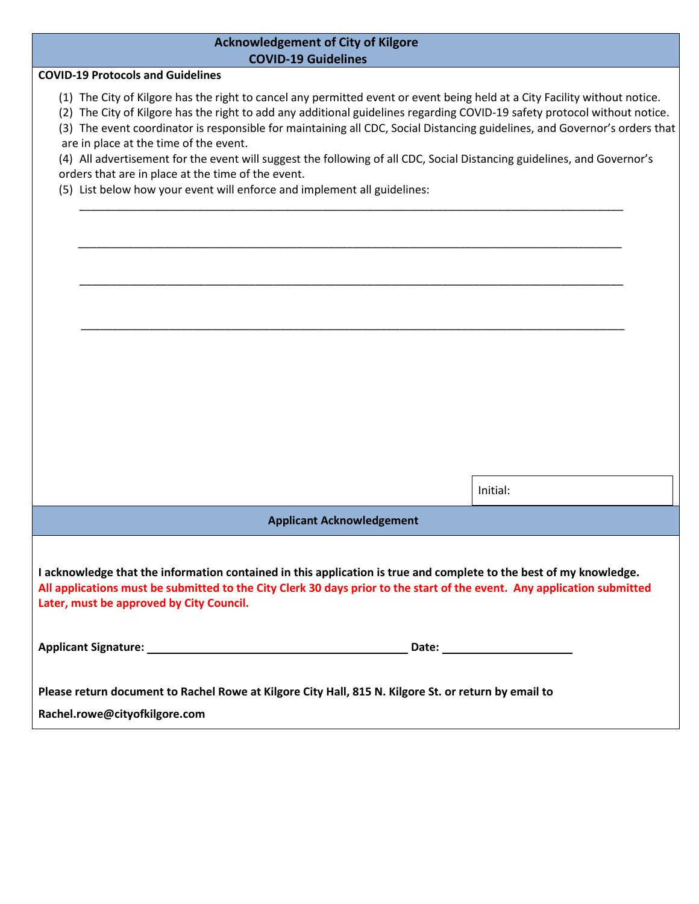| <b>Acknowledgement of City of Kilgore</b><br><b>COVID-19 Guidelines</b>                                                                                                                                                                                                                                                                                                                                                                                                                                                                                                                                                                                                                      |          |  |  |  |
|----------------------------------------------------------------------------------------------------------------------------------------------------------------------------------------------------------------------------------------------------------------------------------------------------------------------------------------------------------------------------------------------------------------------------------------------------------------------------------------------------------------------------------------------------------------------------------------------------------------------------------------------------------------------------------------------|----------|--|--|--|
| <b>COVID-19 Protocols and Guidelines</b>                                                                                                                                                                                                                                                                                                                                                                                                                                                                                                                                                                                                                                                     |          |  |  |  |
| (1) The City of Kilgore has the right to cancel any permitted event or event being held at a City Facility without notice.<br>(2) The City of Kilgore has the right to add any additional guidelines regarding COVID-19 safety protocol without notice.<br>(3) The event coordinator is responsible for maintaining all CDC, Social Distancing guidelines, and Governor's orders that<br>are in place at the time of the event.<br>(4) All advertisement for the event will suggest the following of all CDC, Social Distancing guidelines, and Governor's<br>orders that are in place at the time of the event.<br>(5) List below how your event will enforce and implement all guidelines: |          |  |  |  |
|                                                                                                                                                                                                                                                                                                                                                                                                                                                                                                                                                                                                                                                                                              |          |  |  |  |
|                                                                                                                                                                                                                                                                                                                                                                                                                                                                                                                                                                                                                                                                                              |          |  |  |  |
|                                                                                                                                                                                                                                                                                                                                                                                                                                                                                                                                                                                                                                                                                              |          |  |  |  |
|                                                                                                                                                                                                                                                                                                                                                                                                                                                                                                                                                                                                                                                                                              |          |  |  |  |
|                                                                                                                                                                                                                                                                                                                                                                                                                                                                                                                                                                                                                                                                                              |          |  |  |  |
|                                                                                                                                                                                                                                                                                                                                                                                                                                                                                                                                                                                                                                                                                              |          |  |  |  |
|                                                                                                                                                                                                                                                                                                                                                                                                                                                                                                                                                                                                                                                                                              |          |  |  |  |
|                                                                                                                                                                                                                                                                                                                                                                                                                                                                                                                                                                                                                                                                                              |          |  |  |  |
|                                                                                                                                                                                                                                                                                                                                                                                                                                                                                                                                                                                                                                                                                              |          |  |  |  |
|                                                                                                                                                                                                                                                                                                                                                                                                                                                                                                                                                                                                                                                                                              |          |  |  |  |
|                                                                                                                                                                                                                                                                                                                                                                                                                                                                                                                                                                                                                                                                                              |          |  |  |  |
|                                                                                                                                                                                                                                                                                                                                                                                                                                                                                                                                                                                                                                                                                              | Initial: |  |  |  |
| <b>Applicant Acknowledgement</b>                                                                                                                                                                                                                                                                                                                                                                                                                                                                                                                                                                                                                                                             |          |  |  |  |
|                                                                                                                                                                                                                                                                                                                                                                                                                                                                                                                                                                                                                                                                                              |          |  |  |  |
| I acknowledge that the information contained in this application is true and complete to the best of my knowledge.<br>All applications must be submitted to the City Clerk 30 days prior to the start of the event. Any application submitted<br>Later, must be approved by City Council.                                                                                                                                                                                                                                                                                                                                                                                                    |          |  |  |  |
|                                                                                                                                                                                                                                                                                                                                                                                                                                                                                                                                                                                                                                                                                              |          |  |  |  |
| Please return document to Rachel Rowe at Kilgore City Hall, 815 N. Kilgore St. or return by email to                                                                                                                                                                                                                                                                                                                                                                                                                                                                                                                                                                                         |          |  |  |  |
| Rachel.rowe@cityofkilgore.com                                                                                                                                                                                                                                                                                                                                                                                                                                                                                                                                                                                                                                                                |          |  |  |  |